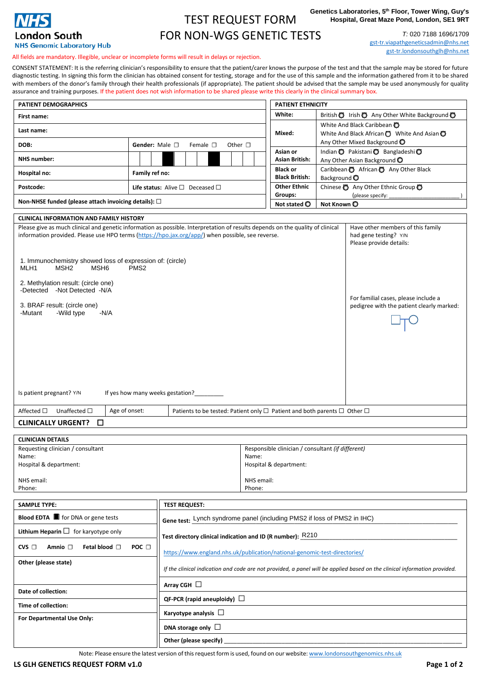

## TEST REQUEST FORM FOR NON-WGS GENETIC TESTS

**Genetics Laboratories, 5th Floor, Tower Wing, Guy's Hospital, Great Maze Pond, London, SE1 9RT**

> *T:* 020 7188 1696/1709 [gst-tr.viapathgeneticsadmin@nhs.net](mailto:gst-tr.viapathgeneticsadmin@nhs.net) [gst-tr.londonsouthglh@nhs.net](mailto:gst-tr.londonsouthglh@nhs.net)

All fields are mandatory. Illegible, unclear or incomplete forms will result in delays or rejection.

CONSENT STATEMENT: It is the referring clinician's responsibility to ensure that the patient/carer knows the purpose of the test and that the sample may be stored for future diagnostic testing. In signing this form the clinician has obtained consent for testing, storage and for the use of this sample and the information gathered from it to be shared with members of the donor's family through their health professionals (if appropriate). The patient should be advised that the sample may be used anonymously for quality<br>assurance and training purposes. If the patient does as<br>In the chared please write this clearly in the clini

| <b>PATIENT DEMOGRAPHICS</b>                                                                                                                                                                                                                                                                                                                                                                                                                                                              |                  |  |                                                 |                                                            |                  |  |  |              |                               |             |  | <b>PATIENT ETHNICITY</b>                                                    |                         |                                                                                                                                                                            |
|------------------------------------------------------------------------------------------------------------------------------------------------------------------------------------------------------------------------------------------------------------------------------------------------------------------------------------------------------------------------------------------------------------------------------------------------------------------------------------------|------------------|--|-------------------------------------------------|------------------------------------------------------------|------------------|--|--|--------------|-------------------------------|-------------|--|-----------------------------------------------------------------------------|-------------------------|----------------------------------------------------------------------------------------------------------------------------------------------------------------------------|
| First name:                                                                                                                                                                                                                                                                                                                                                                                                                                                                              |                  |  |                                                 |                                                            |                  |  |  |              |                               |             |  | White:                                                                      |                         | British   Irish   Any Other White Background                                                                                                                               |
| Last name:                                                                                                                                                                                                                                                                                                                                                                                                                                                                               |                  |  |                                                 |                                                            |                  |  |  |              |                               |             |  | Mixed:                                                                      |                         | White And Black Caribbean<br>White And Black African $\bigcirc$ White And Asian $\bigcirc$                                                                                 |
| DOB:                                                                                                                                                                                                                                                                                                                                                                                                                                                                                     |                  |  | Gender: Male □                                  |                                                            | Female $\square$ |  |  | Other $\Box$ |                               |             |  | Asian or                                                                    |                         | Any Other Mixed Background O<br>Indian O Pakistani O Bangladeshi O                                                                                                         |
| <b>NHS</b> number:                                                                                                                                                                                                                                                                                                                                                                                                                                                                       |                  |  |                                                 |                                                            |                  |  |  |              |                               |             |  | <b>Asian British:</b>                                                       |                         | Any Other Asian Background O                                                                                                                                               |
| Hospital no:                                                                                                                                                                                                                                                                                                                                                                                                                                                                             |                  |  | Family ref no:                                  |                                                            |                  |  |  |              |                               |             |  | <b>Black or</b><br><b>Black British:</b>                                    | Background <sup>O</sup> | Caribbean @ African @ Any Other Black                                                                                                                                      |
| Postcode:                                                                                                                                                                                                                                                                                                                                                                                                                                                                                |                  |  | Life status: Alive $\square$ Deceased $\square$ |                                                            |                  |  |  |              |                               |             |  | <b>Other Ethnic</b><br>Groups:                                              |                         | Chinese C Any Other Ethnic Group C<br>(please specify:                                                                                                                     |
| Non-NHSE funded (please attach invoicing details): $\Box$                                                                                                                                                                                                                                                                                                                                                                                                                                |                  |  |                                                 |                                                            |                  |  |  |              | Not stated O                  | Not Known O |  |                                                                             |                         |                                                                                                                                                                            |
| <b>CLINICAL INFORMATION AND FAMILY HISTORY</b>                                                                                                                                                                                                                                                                                                                                                                                                                                           |                  |  |                                                 |                                                            |                  |  |  |              |                               |             |  |                                                                             |                         |                                                                                                                                                                            |
| Please give as much clinical and genetic information as possible. Interpretation of results depends on the quality of clinical<br>information provided. Please use HPO terms (https://hpo.jax.org/app/) when possible, see reverse.<br>1. Immunochemistry showed loss of expression of: (circle)<br>MLH1<br>MSH <sub>2</sub><br>MSH <sub>6</sub><br>2. Methylation result: (circle one)<br>-Detected -Not Detected -N/A<br>3. BRAF result: (circle one)<br>-Wild type<br>-N/A<br>-Mutant | PMS <sub>2</sub> |  |                                                 |                                                            |                  |  |  |              |                               |             |  |                                                                             |                         | Have other members of this family<br>had gene testing? Y/N<br>Please provide details:<br>For familial cases, please include a<br>pedigree with the patient clearly marked: |
| Is patient pregnant? Y/N<br>Age of onset:<br>Unaffected $\Box$<br>Affected $\square$<br><b>CLINICALLY URGENT?</b><br>□                                                                                                                                                                                                                                                                                                                                                                   |                  |  | If yes how many weeks gestation?                |                                                            |                  |  |  |              |                               |             |  | Patients to be tested: Patient only □ Patient and both parents □ Other □    |                         |                                                                                                                                                                            |
| <b>CLINICIAN DETAILS</b>                                                                                                                                                                                                                                                                                                                                                                                                                                                                 |                  |  |                                                 |                                                            |                  |  |  |              |                               |             |  |                                                                             |                         |                                                                                                                                                                            |
| Requesting clinician / consultant<br>Name:<br>Hospital & department:<br>NHS email:<br>Phone:                                                                                                                                                                                                                                                                                                                                                                                             |                  |  |                                                 |                                                            |                  |  |  |              | Name:<br>NHS email:<br>Phone: |             |  | Responsible clinician / consultant (if different)<br>Hospital & department: |                         |                                                                                                                                                                            |
|                                                                                                                                                                                                                                                                                                                                                                                                                                                                                          |                  |  |                                                 |                                                            |                  |  |  |              |                               |             |  |                                                                             |                         |                                                                                                                                                                            |
| <b>SAMPLE TYPE:</b>                                                                                                                                                                                                                                                                                                                                                                                                                                                                      |                  |  | <b>TEST REQUEST:</b>                            |                                                            |                  |  |  |              |                               |             |  |                                                                             |                         |                                                                                                                                                                            |
| Blood EDTA <b>for DNA</b> or gene tests                                                                                                                                                                                                                                                                                                                                                                                                                                                  |                  |  |                                                 |                                                            |                  |  |  |              |                               |             |  | Gene test: Lynch syndrome panel (including PMS2 if loss of PMS2 in IHC)     |                         |                                                                                                                                                                            |
| Lithium Heparin $\Box$ for karyotype only                                                                                                                                                                                                                                                                                                                                                                                                                                                |                  |  |                                                 | Test directory clinical indication and ID (R number): R210 |                  |  |  |              |                               |             |  |                                                                             |                         |                                                                                                                                                                            |

| <b>Blood EDTA</b> $\blacksquare$ for DNA or gene tests           | Gene test: Lynch syndrome panel (including PMS2 if loss of PMS2 in IHC)                                                   |  |  |  |  |  |  |  |
|------------------------------------------------------------------|---------------------------------------------------------------------------------------------------------------------------|--|--|--|--|--|--|--|
| Lithium Heparin $\Box$ for karyotype only                        | Test directory clinical indication and ID (R number): R210                                                                |  |  |  |  |  |  |  |
| Fetal blood $\Box$<br>POC $\Box$<br>$CVS$ $\Box$<br>Amnio $\Box$ | https://www.england.nhs.uk/publication/national-genomic-test-directories/                                                 |  |  |  |  |  |  |  |
| Other (please state)                                             | If the clinical indication and code are not provided, a panel will be applied based on the clinical information provided. |  |  |  |  |  |  |  |
|                                                                  | Array CGH $\Box$                                                                                                          |  |  |  |  |  |  |  |
| Date of collection:                                              | QF-PCR (rapid aneuploidy) $\Box$                                                                                          |  |  |  |  |  |  |  |
| Time of collection:                                              |                                                                                                                           |  |  |  |  |  |  |  |
| For Departmental Use Only:                                       | Karyotype analysis $\Box$                                                                                                 |  |  |  |  |  |  |  |
|                                                                  | DNA storage only $\Box$                                                                                                   |  |  |  |  |  |  |  |
|                                                                  | Other (please specify)                                                                                                    |  |  |  |  |  |  |  |

Note: Please ensure the latest version of this request form is used, found on our website: [www.londonsouthgenomics.nhs.uk](http://www.londonsouthgenomics.nhs.uk)